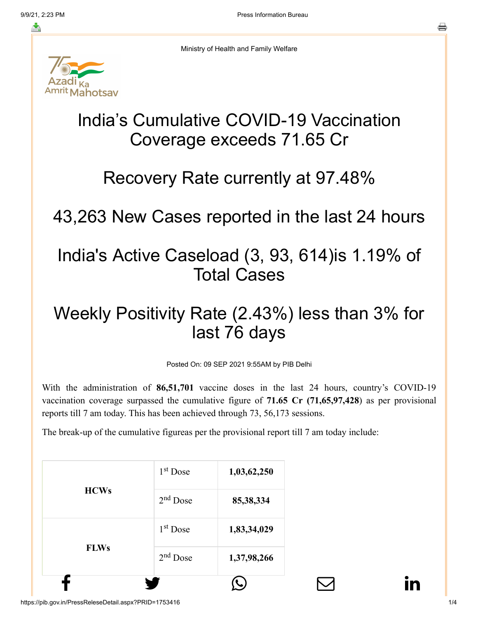≛

Ministry of Health and Family Welfare

# India's Cumulative COVID-19 Vaccination Coverage exceeds 71.65 Cr

#### Recovery Rate currently at 97.48%

43,263 New Cases reported in the last 24 hours

### India's Active Caseload (3, 93, 614)is 1.19% of Total Cases

## Weekly Positivity Rate (2.43%) less than 3% for last 76 days

Posted On: 09 SEP 2021 9:55AM by PIB Delhi

With the administration of **86,51,701** vaccine doses in the last 24 hours, country's COVID-19 vaccination coverage surpassed the cumulative figure of **71.65 Cr (71,65,97,428**) as per provisional reports till 7 am today. This has been achieved through 73, 56,173 sessions.

The break-up of the cumulative figureas per the provisional report till 7 am today include: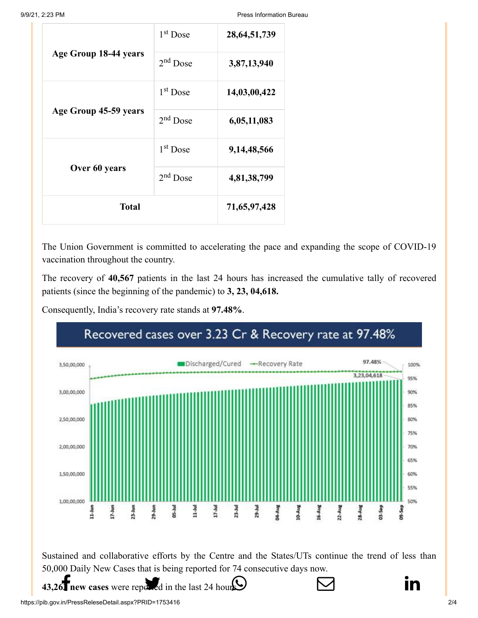9/9/21, 2:23 PM Press Information Bureau

|                       | 1 <sup>st</sup> Dose | 28, 64, 51, 739 |
|-----------------------|----------------------|-----------------|
| Age Group 18-44 years | $2nd$ Dose           | 3,87,13,940     |
|                       | 1 <sup>st</sup> Dose | 14,03,00,422    |
| Age Group 45-59 years | $2nd$ Dose           | 6,05,11,083     |
|                       | $1st$ Dose           | 9,14,48,566     |
| Over 60 years         | $2nd$ Dose           | 4,81,38,799     |
| <b>Total</b>          |                      | 71,65,97,428    |

The Union Government is committed to accelerating the pace and expanding the scope of COVID-19 vaccination throughout the country.

The recovery of **40,567** patients in the last 24 hours has increased the cumulative tally of recovered patients (since the beginning of the pandemic) to **3, 23, 04,618.**

Consequently, India's recovery rate stands at **97.48%**.

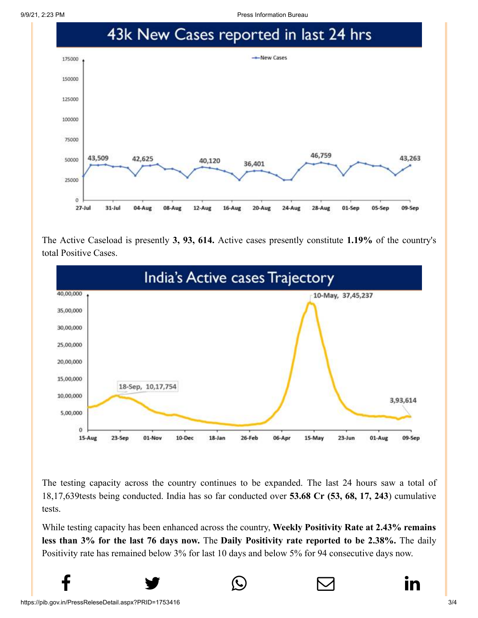9/9/21, 2:23 PM Press Information Bureau



The Active Caseload is presently **3, 93, 614.** Active cases presently constitute **1.19%** of the country's total Positive Cases.



The testing capacity across the country continues to be expanded. The last 24 hours saw a total of 18,17,639tests being conducted. India has so far conducted over **53.68 Cr (53, 68, 17, 243**) cumulative tests.

While testing capacity has been enhanced across the country, **Weekly Positivity Rate at 2.43% remains less than 3% for the last 76 days now.** The **Daily Positivity rate reported to be 2.38%.** The daily Positivity rate has remained below 3% for last 10 days and below 5% for 94 consecutive days now.

 $f$  y  $\circledcirc$   $\quad \circ$  in